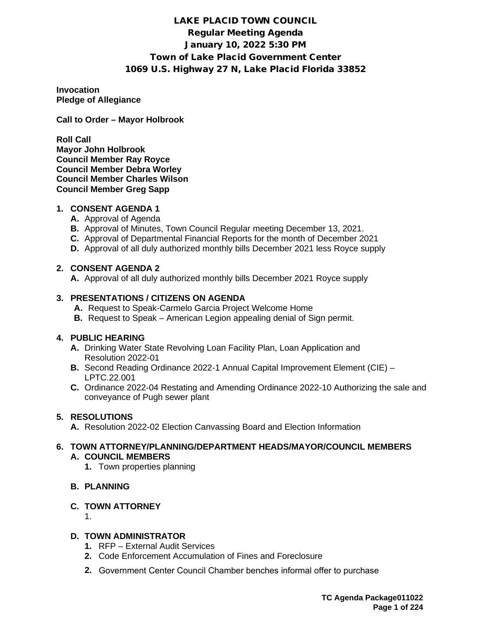# LAKE PLACID TOWN COUNCIL Regular Meeting Agenda January 10, 2022 5:30 PM Town of Lake Placid Government Center 1069 U.S. Highway 27 N, Lake Placid Florida 33852

**Invocation Pledge of Allegiance**

**Call to Order – Mayor Holbrook**

**Roll Call Mayor John Holbrook Council Member Ray Royce Council Member Debra Worley Council Member Charles Wilson Council Member Greg Sapp**

# **1. CONSENT AGENDA 1**

- **A.** Approval of Agenda
- **B.** Approval of Minutes, Town Council Regular meeting December 13, 2021.
- **C.** Approval of Departmental Financial Reports for the month of December 2021
- **D.** Approval of all duly authorized monthly bills December 2021 less Royce supply

# **2. CONSENT AGENDA 2**

**A.** Approval of all duly authorized monthly bills December 2021 Royce supply

## **3. PRESENTATIONS / CITIZENS ON AGENDA**

- **A.** Request to Speak-Carmelo Garcia Project Welcome Home
- **B.** Request to Speak American Legion appealing denial of Sign permit.

# **4. PUBLIC HEARING**

- **A.** Drinking Water State Revolving Loan Facility Plan, Loan Application and Resolution 2022-01
- **B.** Second Reading Ordinance 2022-1 Annual Capital Improvement Element (CIE) LPTC.22.001
- **C.** Ordinance 2022-04 Restating and Amending Ordinance 2022-10 Authorizing the sale and conveyance of Pugh sewer plant

# **5. RESOLUTIONS**

**A.** Resolution 2022-02 Election Canvassing Board and Election Information

# **6. TOWN ATTORNEY/PLANNING/DEPARTMENT HEADS/MAYOR/COUNCIL MEMBERS A. COUNCIL MEMBERS**

- **1.** Town properties planning
- **B. PLANNING**

# **C. TOWN ATTORNEY**

1.

# **D. TOWN ADMINISTRATOR**

- **1.** RFP External Audit Services
- **2.** Code Enforcement Accumulation of Fines and Foreclosure
- **2.** Government Center Council Chamber benches informal offer to purchase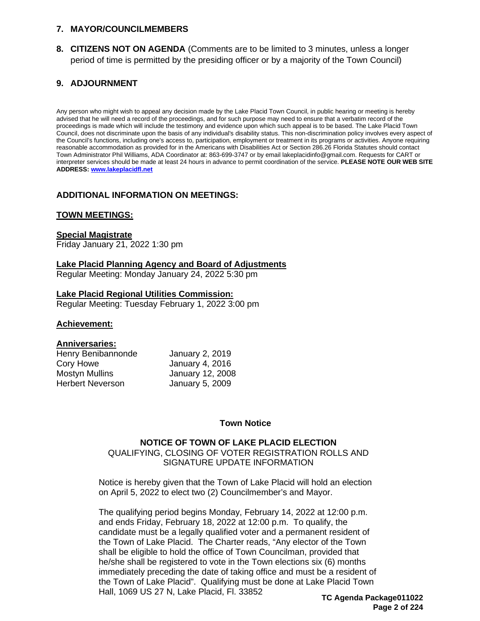### **7. MAYOR/COUNCILMEMBERS**

**8. CITIZENS NOT ON AGENDA** (Comments are to be limited to 3 minutes, unless a longer period of time is permitted by the presiding officer or by a majority of the Town Council)

# **9. ADJOURNMENT**

Any person who might wish to appeal any decision made by the Lake Placid Town Council, in public hearing or meeting is hereby advised that he will need a record of the proceedings, and for such purpose may need to ensure that a verbatim record of the proceedings is made which will include the testimony and evidence upon which such appeal is to be based. The Lake Placid Town Council, does not discriminate upon the basis of any individual's disability status. This non-discrimination policy involves every aspect of the Council's functions, including one's access to, participation, employment or treatment in its programs or activities. Anyone requiring reasonable accommodation as provided for in the Americans with Disabilities Act or Section 286.26 Florida Statutes should contact Town Administrator Phil Williams, ADA Coordinator at: 863-699-3747 or by email lakeplacidinfo@gmail.com. Requests for CART or interpreter services should be made at least 24 hours in advance to permit coordination of the service. **PLEASE NOTE OUR WEB SITE ADDRESS: [www.lakeplacidfl.net](http://www.lakeplacidfl.net/)** 

### **ADDITIONAL INFORMATION ON MEETINGS:**

### **TOWN MEETINGS:**

### **Special Magistrate**

Friday January 21, 2022 1:30 pm

# **Lake Placid Planning Agency and Board of Adjustments**

Regular Meeting: Monday January 24, 2022 5:30 pm

### **Lake Placid Regional Utilities Commission:**

Regular Meeting: Tuesday February 1, 2022 3:00 pm

#### **Achievement:**

### **Anniversaries:**

Henry Benibannonde January 2, 2019 Cory Howe January 4, 2016 Mostyn Mullins January 12, 2008 Herbert Neverson January 5, 2009

### **Town Notice**

# **NOTICE OF TOWN OF LAKE PLACID ELECTION**

QUALIFYING, CLOSING OF VOTER REGISTRATION ROLLS AND SIGNATURE UPDATE INFORMATION

Notice is hereby given that the Town of Lake Placid will hold an election on April 5, 2022 to elect two (2) Councilmember's and Mayor.

The qualifying period begins Monday, February 14, 2022 at 12:00 p.m. and ends Friday, February 18, 2022 at 12:00 p.m. To qualify, the candidate must be a legally qualified voter and a permanent resident of the Town of Lake Placid. The Charter reads, "Any elector of the Town shall be eligible to hold the office of Town Councilman, provided that he/she shall be registered to vote in the Town elections six (6) months immediately preceding the date of taking office and must be a resident of the Town of Lake Placid". Qualifying must be done at Lake Placid Town Hall, 1069 US 27 N, Lake Placid, Fl. 33852

**TC Agenda Package011022 Page 2 of 224**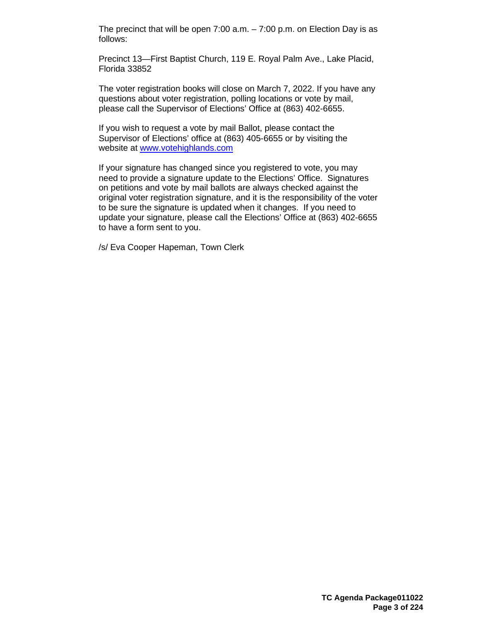The precinct that will be open 7:00 a.m. – 7:00 p.m. on Election Day is as follows:

Precinct 13—First Baptist Church, 119 E. Royal Palm Ave., Lake Placid, Florida 33852

The voter registration books will close on March 7, 2022. If you have any questions about voter registration, polling locations or vote by mail, please call the Supervisor of Elections' Office at (863) 402-6655.

If you wish to request a vote by mail Ballot, please contact the Supervisor of Elections' office at (863) 405-6655 or by visiting the website at [www.votehighlands.com](http://www.votehighlands.com/)

If your signature has changed since you registered to vote, you may need to provide a signature update to the Elections' Office. Signatures on petitions and vote by mail ballots are always checked against the original voter registration signature, and it is the responsibility of the voter to be sure the signature is updated when it changes. If you need to update your signature, please call the Elections' Office at (863) 402-6655 to have a form sent to you.

/s/ Eva Cooper Hapeman, Town Clerk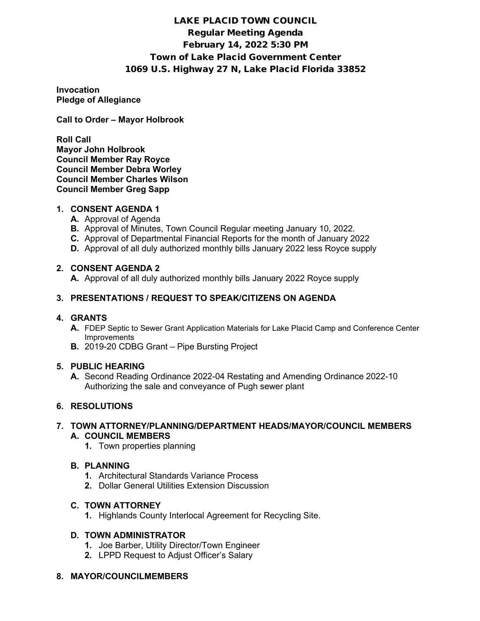# LAKE PLACID TOWN COUNCIL Regular Meeting Agenda February 14, 2022 5:30 PM Town of Lake Placid Government Center 1069 U.S. Highway 27 N, Lake Placid Florida 33852

**Invocation Pledge of Allegiance**

**Call to Order – Mayor Holbrook**

**Roll Call Mayor John Holbrook Council Member Ray Royce Council Member Debra Worley Council Member Charles Wilson Council Member Greg Sapp**

### **1. CONSENT AGENDA 1**

- **A.** Approval of Agenda
- **B.** Approval of Minutes, Town Council Regular meeting January 10, 2022.
- **C.** Approval of Departmental Financial Reports for the month of January 2022
- **D.** Approval of all duly authorized monthly bills January 2022 less Royce supply

# **2. CONSENT AGENDA 2**

**A.** Approval of all duly authorized monthly bills January 2022 Royce supply

## **3. PRESENTATIONS / REQUEST TO SPEAK/CITIZENS ON AGENDA**

### **4. GRANTS**

- **A.** FDEP Septic to Sewer Grant Application Materials for Lake Placid Camp and Conference Center Improvements
- **B.** 2019-20 CDBG Grant Pipe Bursting Project

### **5. PUBLIC HEARING**

**A.** Second Reading Ordinance 2022-04 Restating and Amending Ordinance 2022-10 Authorizing the sale and conveyance of Pugh sewer plant

# **6. RESOLUTIONS**

### **7. TOWN ATTORNEY/PLANNING/DEPARTMENT HEADS/MAYOR/COUNCIL MEMBERS A. COUNCIL MEMBERS**

**1.** Town properties planning

# **B. PLANNING**

- **1.** Architectural Standards Variance Process
- **2.** Dollar General Utilities Extension Discussion

# **C. TOWN ATTORNEY**

**1.** Highlands County Interlocal Agreement for Recycling Site.

# **D. TOWN ADMINISTRATOR**

- **1.** Joe Barber, Utility Director/Town Engineer
- **2.** LPPD Request to Adjust Officer's Salary

### **8. MAYOR/COUNCILMEMBERS**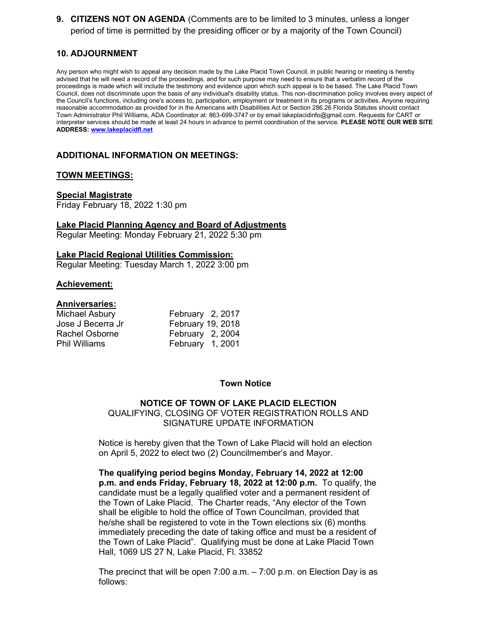**9. CITIZENS NOT ON AGENDA** (Comments are to be limited to 3 minutes, unless a longer period of time is permitted by the presiding officer or by a majority of the Town Council)

# **10. ADJOURNMENT**

Any person who might wish to appeal any decision made by the Lake Placid Town Council, in public hearing or meeting is hereby advised that he will need a record of the proceedings, and for such purpose may need to ensure that a verbatim record of the proceedings is made which will include the testimony and evidence upon which such appeal is to be based. The Lake Placid Town Council, does not discriminate upon the basis of any individual's disability status. This non-discrimination policy involves every aspect of the Council's functions, including one's access to, participation, employment or treatment in its programs or activities. Anyone requiring reasonable accommodation as provided for in the Americans with Disabilities Act or Section 286.26 Florida Statutes should contact Town Administrator Phil Williams, ADA Coordinator at: 863-699-3747 or by email lakeplacidinfo@gmail.com. Requests for CART or interpreter services should be made at least 24 hours in advance to permit coordination of the service. **PLEASE NOTE OUR WEB SITE ADDRESS: [www.lakeplacidfl.net](http://www.lakeplacidfl.net/)**

# **ADDITIONAL INFORMATION ON MEETINGS:**

### **TOWN MEETINGS:**

#### **Special Magistrate**

Friday February 18, 2022 1:30 pm

**Lake Placid Planning Agency and Board of Adjustments** Regular Meeting: Monday February 21, 2022 5:30 pm

#### **Lake Placid Regional Utilities Commission:**

Regular Meeting: Tuesday March 1, 2022 3:00 pm

#### **Achievement:**

### **Anniversaries:**

| Michael Asbury       | February 2, 2017  |  |
|----------------------|-------------------|--|
| Jose J Becerra Jr    | February 19, 2018 |  |
| Rachel Osborne       | February 2, 2004  |  |
| <b>Phil Williams</b> | February 1, 2001  |  |

#### **Town Notice**

### **NOTICE OF TOWN OF LAKE PLACID ELECTION** QUALIFYING, CLOSING OF VOTER REGISTRATION ROLLS AND SIGNATURE UPDATE INFORMATION

Notice is hereby given that the Town of Lake Placid will hold an election on April 5, 2022 to elect two (2) Councilmember's and Mayor.

**The qualifying period begins Monday, February 14, 2022 at 12:00 p.m. and ends Friday, February 18, 2022 at 12:00 p.m.** To qualify, the candidate must be a legally qualified voter and a permanent resident of the Town of Lake Placid. The Charter reads, "Any elector of the Town shall be eligible to hold the office of Town Councilman, provided that he/she shall be registered to vote in the Town elections six (6) months immediately preceding the date of taking office and must be a resident of the Town of Lake Placid". Qualifying must be done at Lake Placid Town Hall, 1069 US 27 N, Lake Placid, Fl. 33852

The precinct that will be open 7:00 a.m. – 7:00 p.m. on Election Day is as follows: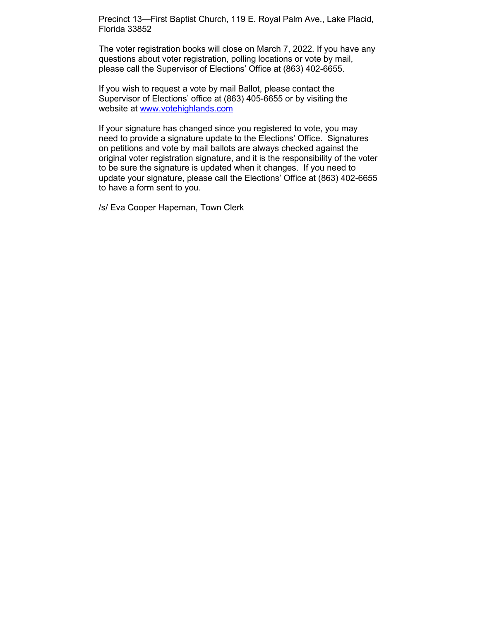Precinct 13—First Baptist Church, 119 E. Royal Palm Ave., Lake Placid, Florida 33852

The voter registration books will close on March 7, 2022. If you have any questions about voter registration, polling locations or vote by mail, please call the Supervisor of Elections' Office at (863) 402-6655.

If you wish to request a vote by mail Ballot, please contact the Supervisor of Elections' office at (863) 405-6655 or by visiting the website at [www.votehighlands.com](http://www.votehighlands.com/)

If your signature has changed since you registered to vote, you may need to provide a signature update to the Elections' Office. Signatures on petitions and vote by mail ballots are always checked against the original voter registration signature, and it is the responsibility of the voter to be sure the signature is updated when it changes. If you need to update your signature, please call the Elections' Office at (863) 402-6655 to have a form sent to you.

/s/ Eva Cooper Hapeman, Town Clerk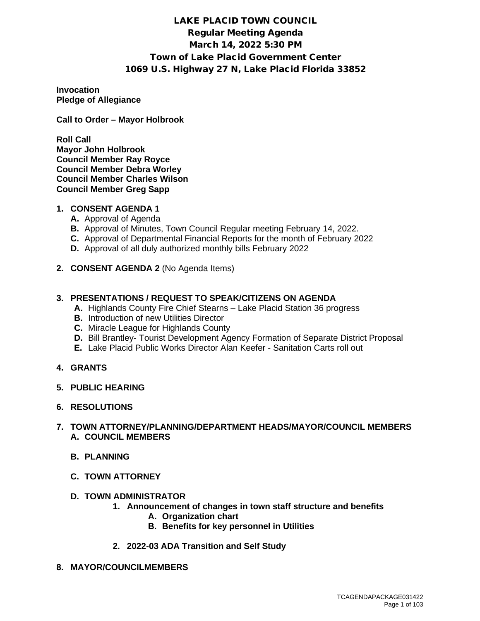# LAKE PLACID TOWN COUNCIL Regular Meeting Agenda March 14, 2022 5:30 PM Town of Lake Placid Government Center 1069 U.S. Highway 27 N, Lake Placid Florida 33852

**Invocation Pledge of Allegiance**

**Call to Order – Mayor Holbrook**

**Roll Call Mayor John Holbrook Council Member Ray Royce Council Member Debra Worley Council Member Charles Wilson Council Member Greg Sapp**

# **1. CONSENT AGENDA 1**

- **A.** Approval of Agenda
- **B.** Approval of Minutes, Town Council Regular meeting February 14, 2022.
- **C.** Approval of Departmental Financial Reports for the month of February 2022
- **D.** Approval of all duly authorized monthly bills February 2022
- **2. CONSENT AGENDA 2** (No Agenda Items)

## **3. PRESENTATIONS / REQUEST TO SPEAK/CITIZENS ON AGENDA**

- **A.** Highlands County Fire Chief Stearns Lake Placid Station 36 progress
- **B.** Introduction of new Utilities Director
- **C.** Miracle League for Highlands County
- **D.** Bill Brantley- Tourist Development Agency Formation of Separate District Proposal
- **E.** Lake Placid Public Works Director Alan Keefer Sanitation Carts roll out
- **4. GRANTS**
- **5. PUBLIC HEARING**
- **6. RESOLUTIONS**

### **7. TOWN ATTORNEY/PLANNING/DEPARTMENT HEADS/MAYOR/COUNCIL MEMBERS A. COUNCIL MEMBERS**

- **B. PLANNING**
- **C. TOWN ATTORNEY**
- **D. TOWN ADMINISTRATOR**
	- **1. Announcement of changes in town staff structure and benefits**
		- **A. Organization chart**
		- **B. Benefits for key personnel in Utilities**
	- **2. 2022-03 ADA Transition and Self Study**
- **8. MAYOR/COUNCILMEMBERS**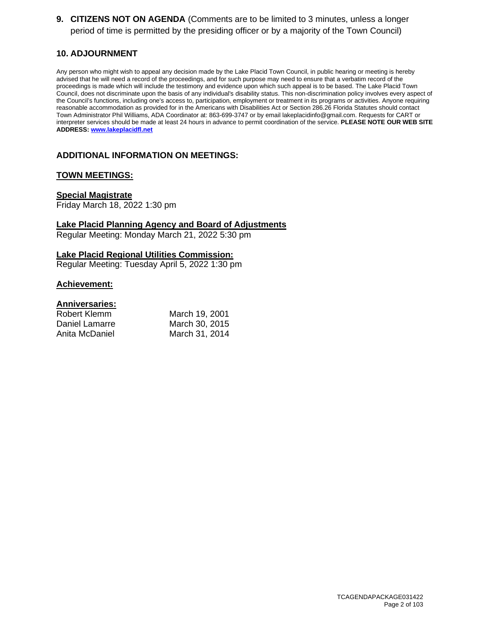**9. CITIZENS NOT ON AGENDA** (Comments are to be limited to 3 minutes, unless a longer period of time is permitted by the presiding officer or by a majority of the Town Council)

# **10. ADJOURNMENT**

Any person who might wish to appeal any decision made by the Lake Placid Town Council, in public hearing or meeting is hereby advised that he will need a record of the proceedings, and for such purpose may need to ensure that a verbatim record of the proceedings is made which will include the testimony and evidence upon which such appeal is to be based. The Lake Placid Town Council, does not discriminate upon the basis of any individual's disability status. This non-discrimination policy involves every aspect of the Council's functions, including one's access to, participation, employment or treatment in its programs or activities. Anyone requiring reasonable accommodation as provided for in the Americans with Disabilities Act or Section 286.26 Florida Statutes should contact Town Administrator Phil Williams, ADA Coordinator at: 863-699-3747 or by email lakeplacidinfo@gmail.com. Requests for CART or interpreter services should be made at least 24 hours in advance to permit coordination of the service. **PLEASE NOTE OUR WEB SITE ADDRESS: [www.lakeplacidfl.net](http://www.lakeplacidfl.net/)** 

# **ADDITIONAL INFORMATION ON MEETINGS:**

### **TOWN MEETINGS:**

#### **Special Magistrate**

Friday March 18, 2022 1:30 pm

**Lake Placid Planning Agency and Board of Adjustments**

Regular Meeting: Monday March 21, 2022 5:30 pm

#### **Lake Placid Regional Utilities Commission:**

Regular Meeting: Tuesday April 5, 2022 1:30 pm

### **Achievement:**

| Robert Klemm   | March 19, 2001 |
|----------------|----------------|
| Daniel Lamarre | March 30, 2015 |
| Anita McDaniel | March 31, 2014 |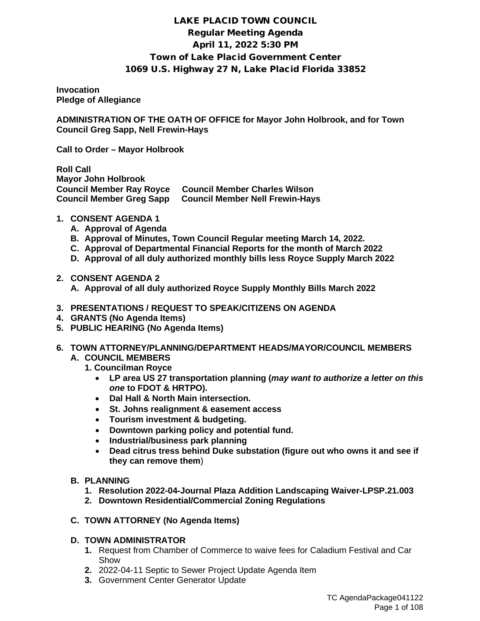# LAKE PLACID TOWN COUNCIL Regular Meeting Agenda April 11, 2022 5:30 PM Town of Lake Placid Government Center 1069 U.S. Highway 27 N, Lake Placid Florida 33852

**Invocation Pledge of Allegiance** 

**ADMINISTRATION OF THE OATH OF OFFICE for Mayor John Holbrook, and for Town Council Greg Sapp, Nell Frewin-Hays**

**Call to Order – Mayor Holbrook** 

**Roll Call Mayor John Holbrook Council Member Ray Royce Council Member Charles Wilson Council Member Greg Sapp Council Member Nell Frewin-Hays**

- **1. CONSENT AGENDA 1**
	- **A. Approval of Agenda**
	- **B. Approval of Minutes, Town Council Regular meeting March 14, 2022.**
	- **C. Approval of Departmental Financial Reports for the month of March 2022**
	- **D. Approval of all duly authorized monthly bills less Royce Supply March 2022**
- **2. CONSENT AGENDA 2**

**A. Approval of all duly authorized Royce Supply Monthly Bills March 2022**

- **3. PRESENTATIONS / REQUEST TO SPEAK/CITIZENS ON AGENDA**
- **4. GRANTS (No Agenda Items)**
- **5. PUBLIC HEARING (No Agenda Items)**
- **6. TOWN ATTORNEY/PLANNING/DEPARTMENT HEADS/MAYOR/COUNCIL MEMBERS A. COUNCIL MEMBERS** 
	- **1. Councilman Royce**
		- **LP area US 27 transportation planning (***may want to authorize a letter on this one* **to FDOT & HRTPO).**
		- **Dal Hall & North Main intersection.**
		- **St. Johns realignment & easement access**
		- **Tourism investment & budgeting.**
		- **Downtown parking policy and potential fund.**
		- **Industrial/business park planning**
		- **Dead citrus tress behind Duke substation (figure out who owns it and see if they can remove them**)

### **B. PLANNING**

- **1. Resolution 2022-04-Journal Plaza Addition Landscaping Waiver-LPSP.21.003**
- **2. Downtown Residential/Commercial Zoning Regulations**

# **C. TOWN ATTORNEY (No Agenda Items)**

# **D. TOWN ADMINISTRATOR**

- **1.** Request from Chamber of Commerce to waive fees for Caladium Festival and Car Show
- **2.** 2022-04-11 Septic to Sewer Project Update Agenda Item
- **3.** Government Center Generator Update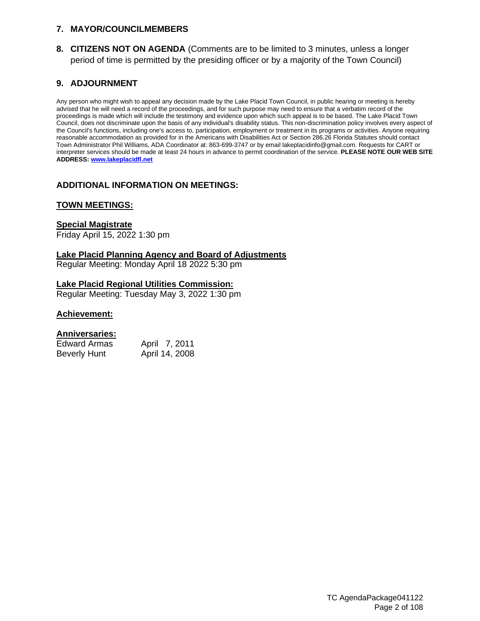# **7. MAYOR/COUNCILMEMBERS**

**8. CITIZENS NOT ON AGENDA** (Comments are to be limited to 3 minutes, unless a longer period of time is permitted by the presiding officer or by a majority of the Town Council)

# **9. ADJOURNMENT**

Any person who might wish to appeal any decision made by the Lake Placid Town Council, in public hearing or meeting is hereby advised that he will need a record of the proceedings, and for such purpose may need to ensure that a verbatim record of the proceedings is made which will include the testimony and evidence upon which such appeal is to be based. The Lake Placid Town Council, does not discriminate upon the basis of any individual's disability status. This non-discrimination policy involves every aspect of the Council's functions, including one's access to, participation, employment or treatment in its programs or activities. Anyone requiring reasonable accommodation as provided for in the Americans with Disabilities Act or Section 286.26 Florida Statutes should contact Town Administrator Phil Williams, ADA Coordinator at: 863-699-3747 or by email lakeplacidinfo@gmail.com. Requests for CART or interpreter services should be made at least 24 hours in advance to permit coordination of the service. **PLEASE NOTE OUR WEB SITE ADDRESS: [www.lakeplacidfl.net](http://www.lakeplacidfl.net/)** 

# **ADDITIONAL INFORMATION ON MEETINGS:**

### **TOWN MEETINGS:**

### **Special Magistrate**

Friday April 15, 2022 1:30 pm

### **Lake Placid Planning Agency and Board of Adjustments**

Regular Meeting: Monday April 18 2022 5:30 pm

## **Lake Placid Regional Utilities Commission:**

Regular Meeting: Tuesday May 3, 2022 1:30 pm

### **Achievement:**

| Edward Armas        | April 7, 2011  |
|---------------------|----------------|
| <b>Beverly Hunt</b> | April 14, 2008 |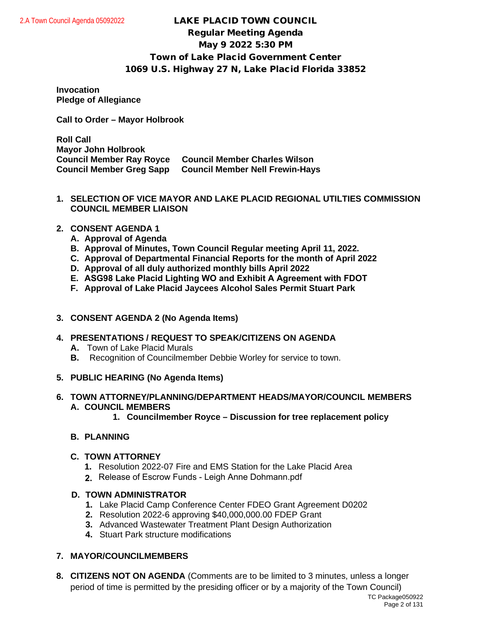# LAKE PLACID TOWN COUNCIL Regular Meeting Agenda May 9 2022 5:30 PM Town of Lake Placid Government Center 1069 U.S. Highway 27 N, Lake Placid Florida 33852

### **Invocation Pledge of Allegiance**

**Call to Order – Mayor Holbrook**

**Roll Call Mayor John Holbrook Council Member Ray Royce Council Member Charles Wilson Council Member Greg Sapp Council Member Nell Frewin-Hays**

**1. SELECTION OF VICE MAYOR AND LAKE PLACID REGIONAL UTILTIES COMMISSION COUNCIL MEMBER LIAISON**

# **2. CONSENT AGENDA 1**

- **A. Approval of Agenda**
- **B. Approval of Minutes, Town Council Regular meeting April 11, 2022.**
- **C. Approval of Departmental Financial Reports for the month of April 2022**
- **D. Approval of all duly authorized monthly bills April 2022**
- **E. ASG98 Lake Placid Lighting WO and Exhibit A Agreement with FDOT**
- **F. Approval of Lake Placid Jaycees Alcohol Sales Permit Stuart Park**

# **3. CONSENT AGENDA 2 (No Agenda Items)**

- **4. PRESENTATIONS / REQUEST TO SPEAK/CITIZENS ON AGENDA**
	- **A.** Town of Lake Placid Murals
	- **B.** Recognition of Councilmember Debbie Worley for service to town.
- **5. PUBLIC HEARING (No Agenda Items)**
- **6. TOWN ATTORNEY/PLANNING/DEPARTMENT HEADS/MAYOR/COUNCIL MEMBERS A. COUNCIL MEMBERS**
	- **1. Councilmember Royce Discussion for tree replacement policy**

# **B. PLANNING**

# **C. TOWN ATTORNEY**

- **1.** Resolution 2022-07 Fire and EMS Station for the Lake Placid Area
- Release of Escrow Funds Leigh Anne Dohmann.pdf **2.**

# **D. TOWN ADMINISTRATOR**

- **1.** Lake Placid Camp Conference Center FDEO Grant Agreement D0202
- **2.** Resolution 2022-6 approving \$40,000,000.00 FDEP Grant
- **3.** Advanced Wastewater Treatment Plant Design Authorization
- **4.** Stuart Park structure modifications

# **7. MAYOR/COUNCILMEMBERS**

**8. CITIZENS NOT ON AGENDA** (Comments are to be limited to 3 minutes, unless a longer period of time is permitted by the presiding officer or by a majority of the Town Council)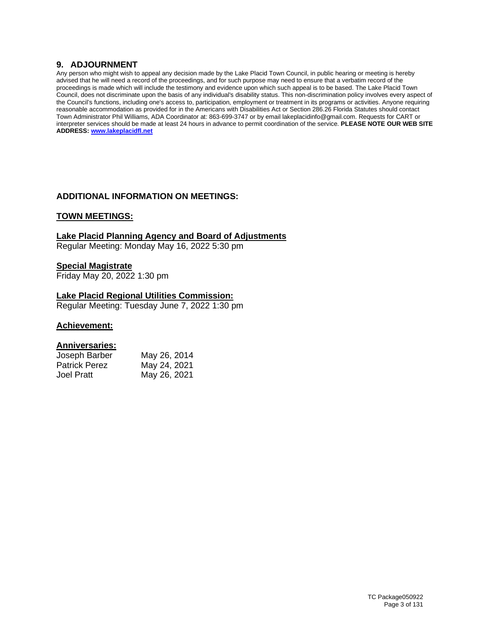# **9. ADJOURNMENT**

Any person who might wish to appeal any decision made by the Lake Placid Town Council, in public hearing or meeting is hereby advised that he will need a record of the proceedings, and for such purpose may need to ensure that a verbatim record of the proceedings is made which will include the testimony and evidence upon which such appeal is to be based. The Lake Placid Town Council, does not discriminate upon the basis of any individual's disability status. This non-discrimination policy involves every aspect of the Council's functions, including one's access to, participation, employment or treatment in its programs or activities. Anyone requiring reasonable accommodation as provided for in the Americans with Disabilities Act or Section 286.26 Florida Statutes should contact Town Administrator Phil Williams, ADA Coordinator at: 863-699-3747 or by email lakeplacidinfo@gmail.com. Requests for CART or interpreter services should be made at least 24 hours in advance to permit coordination of the service. **PLEASE NOTE OUR WEB SITE ADDRESS: [www.lakeplacidfl.net](http://www.lakeplacidfl.net/)** 

# **ADDITIONAL INFORMATION ON MEETINGS:**

### **TOWN MEETINGS:**

### **Lake Placid Planning Agency and Board of Adjustments**

Regular Meeting: Monday May 16, 2022 5:30 pm

### **Special Magistrate**

Friday May 20, 2022 1:30 pm

### **Lake Placid Regional Utilities Commission:**

Regular Meeting: Tuesday June 7, 2022 1:30 pm

### **Achievement:**

| Joseph Barber        | May 26, 2014 |
|----------------------|--------------|
| <b>Patrick Perez</b> | May 24, 2021 |
| Joel Pratt           | May 26, 2021 |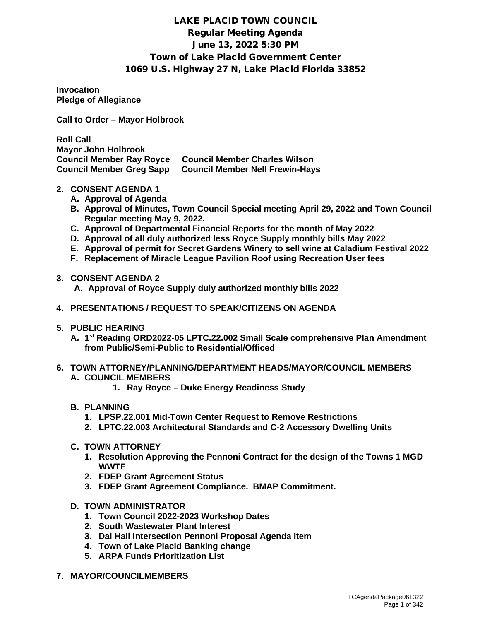# LAKE PLACID TOWN COUNCIL Regular Meeting Agenda June 13, 2022 5:30 PM Town of Lake Placid Government Center 1069 U.S. Highway 27 N, Lake Placid Florida 33852

**Invocation Pledge of Allegiance** 

**Call to Order – Mayor Holbrook** 

**Roll Call Mayor John Holbrook Council Member Charles Wilson Council Member Greg Sapp Council Member Nell Frewin-Hays**

- **2. CONSENT AGENDA 1**
	- **A. Approval of Agenda**
	- **B. Approval of Minutes, Town Council Special meeting April 29, 2022 and Town Council Regular meeting May 9, 2022.**
	- **C. Approval of Departmental Financial Reports for the month of May 2022**
	- **D. Approval of all duly authorized less Royce Supply monthly bills May 2022**
	- **E. Approval of permit for Secret Gardens Winery to sell wine at Caladium Festival 2022**
	- **F. Replacement of Miracle League Pavilion Roof using Recreation User fees**
- **3. CONSENT AGENDA 2** 
	- **A. Approval of Royce Supply duly authorized monthly bills 2022**
- **4. PRESENTATIONS / REQUEST TO SPEAK/CITIZENS ON AGENDA**
- **5. PUBLIC HEARING**
	- **A. 1st Reading ORD2022-05 LPTC.22.002 Small Scale comprehensive Plan Amendment from Public/Semi-Public to Residential/Officed**
- **6. TOWN ATTORNEY/PLANNING/DEPARTMENT HEADS/MAYOR/COUNCIL MEMBERS A. COUNCIL MEMBERS**
	- **1. Ray Royce Duke Energy Readiness Study**

# **B. PLANNING**

- **1. LPSP.22.001 Mid-Town Center Request to Remove Restrictions**
- **2. LPTC.22.003 Architectural Standards and C-2 Accessory Dwelling Units**
- **C. TOWN ATTORNEY**
	- **1. Resolution Approving the Pennoni Contract for the design of the Towns 1 MGD WWTF**
	- **2. FDEP Grant Agreement Status**
	- **3. FDEP Grant Agreement Compliance. BMAP Commitment.**
- **D. TOWN ADMINISTRATOR**
	- **1. Town Council 2022-2023 Workshop Dates**
	- **2. South Wastewater Plant Interest**
	- **3. Dal Hall Intersection Pennoni Proposal Agenda Item**
	- **4. Town of Lake Placid Banking change**
	- **5. ARPA Funds Prioritization List**
- **7. MAYOR/COUNCILMEMBERS**